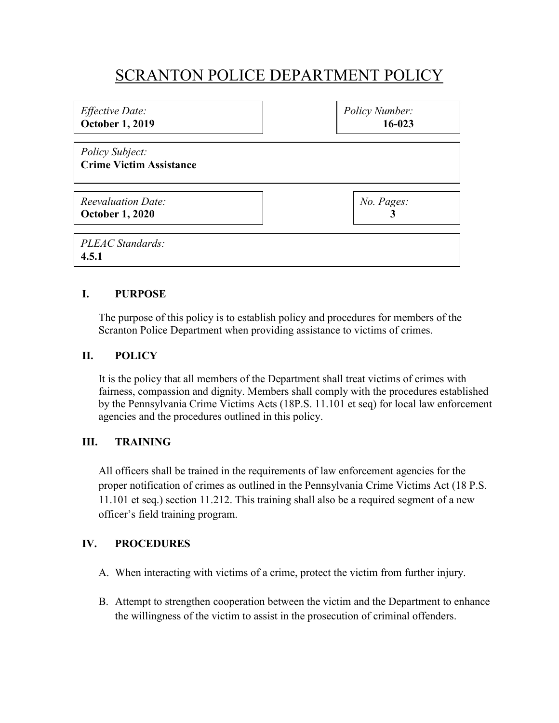# SCRANTON POLICE DEPARTMENT POLICY

| <i>Effective Date:</i><br><b>October 1, 2019</b>    | Policy Number:<br>$16 - 023$ |
|-----------------------------------------------------|------------------------------|
| Policy Subject:<br><b>Crime Victim Assistance</b>   |                              |
| <b>Reevaluation Date:</b><br><b>October 1, 2020</b> | No. Pages:                   |
| PLEAC Standards:<br>4.5.1                           |                              |

## **I. PURPOSE**

The purpose of this policy is to establish policy and procedures for members of the Scranton Police Department when providing assistance to victims of crimes.

#### **II. POLICY**

It is the policy that all members of the Department shall treat victims of crimes with fairness, compassion and dignity. Members shall comply with the procedures established by the Pennsylvania Crime Victims Acts (18P.S. 11.101 et seq) for local law enforcement agencies and the procedures outlined in this policy.

### **III. TRAINING**

All officers shall be trained in the requirements of law enforcement agencies for the proper notification of crimes as outlined in the Pennsylvania Crime Victims Act (18 P.S. 11.101 et seq.) section 11.212. This training shall also be a required segment of a new officer's field training program.

#### **IV. PROCEDURES**

- A. When interacting with victims of a crime, protect the victim from further injury.
- B. Attempt to strengthen cooperation between the victim and the Department to enhance the willingness of the victim to assist in the prosecution of criminal offenders.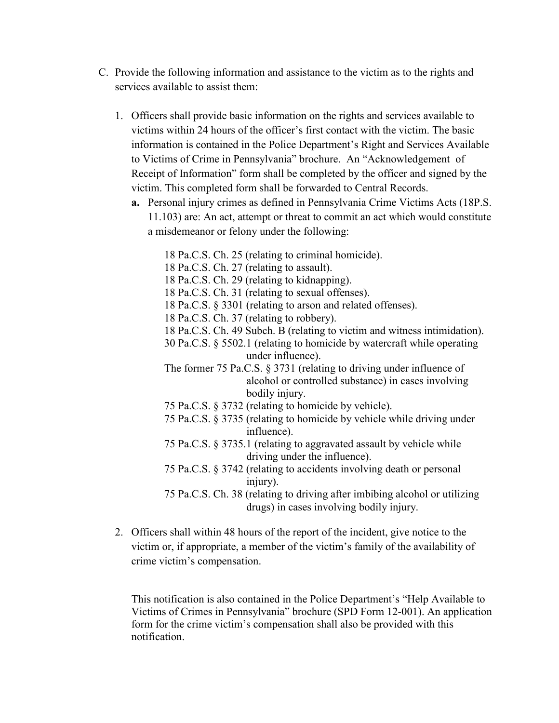- C. Provide the following information and assistance to the victim as to the rights and services available to assist them:
	- 1. Officers shall provide basic information on the rights and services available to victims within 24 hours of the officer's first contact with the victim. The basic information is contained in the Police Department's Right and Services Available to Victims of Crime in Pennsylvania" brochure. An "Acknowledgement of Receipt of Information" form shall be completed by the officer and signed by the victim. This completed form shall be forwarded to Central Records.
		- **a.** Personal injury crimes as defined in Pennsylvania Crime Victims Acts (18P.S. 11.103) are: An act, attempt or threat to commit an act which would constitute a misdemeanor or felony under the following:
			- 18 Pa.C.S. Ch. 25 (relating to criminal homicide).
			- 18 Pa.C.S. Ch. 27 (relating to assault).
			- 18 Pa.C.S. Ch. 29 (relating to kidnapping).
			- 18 Pa.C.S. Ch. 31 (relating to sexual offenses).
			- 18 Pa.C.S. § 3301 (relating to arson and related offenses).
			- 18 Pa.C.S. Ch. 37 (relating to robbery).
			- 18 Pa.C.S. Ch. 49 Subch. B (relating to victim and witness intimidation).
			- 30 Pa.C.S. § 5502.1 (relating to homicide by watercraft while operating under influence).
			- The former 75 Pa.C.S. § 3731 (relating to driving under influence of alcohol or controlled substance) in cases involving bodily injury.
			- 75 Pa.C.S. § 3732 (relating to homicide by vehicle).
			- 75 Pa.C.S. § 3735 (relating to homicide by vehicle while driving under influence).
			- 75 Pa.C.S. § 3735.1 (relating to aggravated assault by vehicle while driving under the influence).
			- 75 Pa.C.S. § 3742 (relating to accidents involving death or personal injury).
			- 75 Pa.C.S. Ch. 38 (relating to driving after imbibing alcohol or utilizing drugs) in cases involving bodily injury.
	- 2. Officers shall within 48 hours of the report of the incident, give notice to the victim or, if appropriate, a member of the victim's family of the availability of crime victim's compensation.

This notification is also contained in the Police Department's "Help Available to Victims of Crimes in Pennsylvania" brochure (SPD Form 12-001). An application form for the crime victim's compensation shall also be provided with this notification.